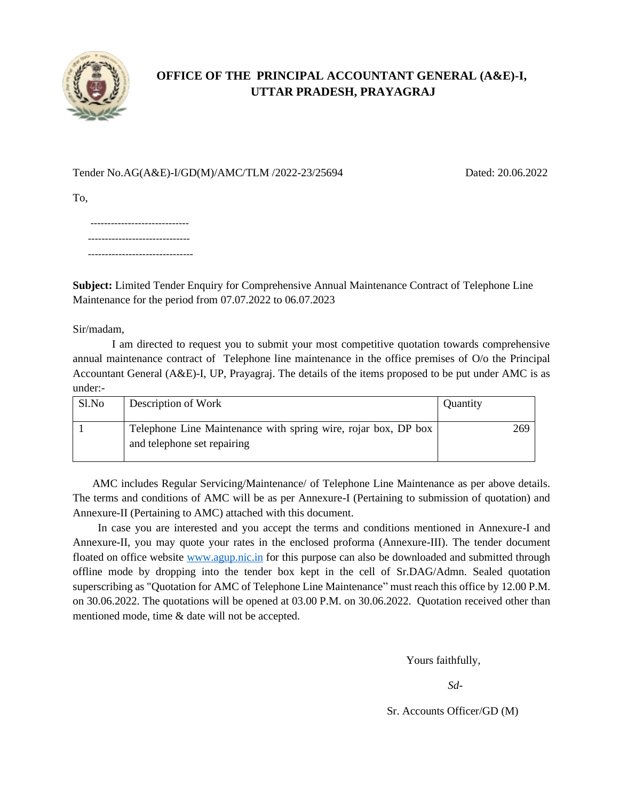

# **OFFICE OF THE PRINCIPAL ACCOUNTANT GENERAL (A&E)-I, UTTAR PRADESH, PRAYAGRAJ**

## Tender No.AG(A&E)-I/GD(M)/AMC/TLM /2022-23/25694 Dated: 20.06.2022

To,

 ----------------------------- ------------------------------ -------------------------------

**Subject:** Limited Tender Enquiry for Comprehensive Annual Maintenance Contract of Telephone Line Maintenance for the period from 07.07.2022 to 06.07.2023

Sir/madam,

I am directed to request you to submit your most competitive quotation towards comprehensive annual maintenance contract of Telephone line maintenance in the office premises of O/o the Principal Accountant General (A&E)-I, UP, Prayagraj. The details of the items proposed to be put under AMC is as under:-

| Sl.No | Description of Work                                                                           | Quantity |
|-------|-----------------------------------------------------------------------------------------------|----------|
|       | Telephone Line Maintenance with spring wire, rojar box, DP box<br>and telephone set repairing | 269      |

 AMC includes Regular Servicing/Maintenance/ of Telephone Line Maintenance as per above details. The terms and conditions of AMC will be as per Annexure-I (Pertaining to submission of quotation) and Annexure-II (Pertaining to AMC) attached with this document.

 In case you are interested and you accept the terms and conditions mentioned in Annexure-I and Annexure-II, you may quote your rates in the enclosed proforma (Annexure-III). The tender document floated on office website [www.agup.nic.in](http://www.agup.nic.in/) for this purpose can also be downloaded and submitted through offline mode by dropping into the tender box kept in the cell of Sr.DAG/Admn. Sealed quotation superscribing as "Quotation for AMC of Telephone Line Maintenance" must reach this office by 12.00 P.M. on 30.06.2022. The quotations will be opened at 03.00 P.M. on 30.06.2022. Quotation received other than mentioned mode, time & date will not be accepted.

Yours faithfully,

*Sd-*

Sr. Accounts Officer/GD (M)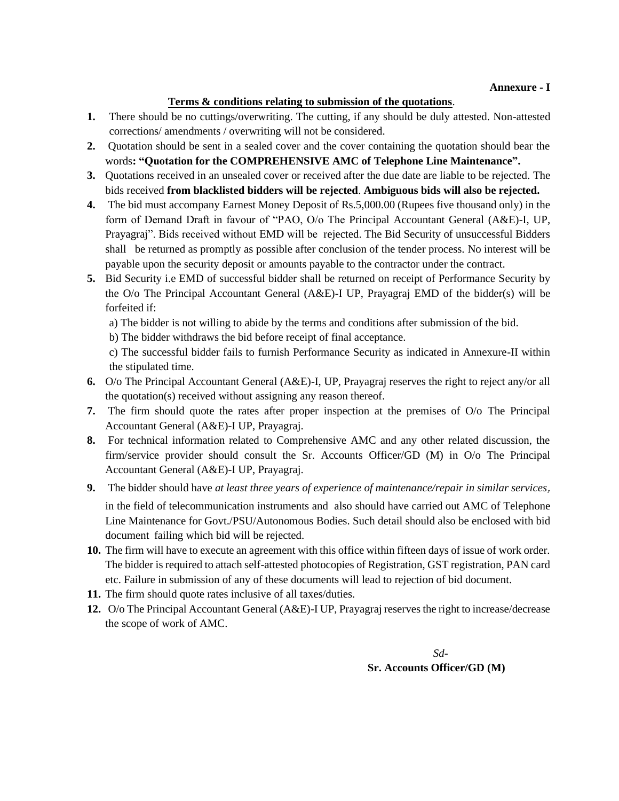### **Terms & conditions relating to submission of the quotations**.

- **1.** There should be no cuttings/overwriting. The cutting, if any should be duly attested. Non-attested corrections/ amendments / overwriting will not be considered.
- **2.** Quotation should be sent in a sealed cover and the cover containing the quotation should bear the words**: "Quotation for the COMPREHENSIVE AMC of Telephone Line Maintenance".**
- **3.** Quotations received in an unsealed cover or received after the due date are liable to be rejected. The bids received **from blacklisted bidders will be rejected**. **Ambiguous bids will also be rejected.**
- **4.** The bid must accompany Earnest Money Deposit of Rs.5,000.00 (Rupees five thousand only) in the form of Demand Draft in favour of "PAO, O/o The Principal Accountant General (A&E)-I, UP, Prayagraj". Bids received without EMD will be rejected. The Bid Security of unsuccessful Bidders shall be returned as promptly as possible after conclusion of the tender process. No interest will be payable upon the security deposit or amounts payable to the contractor under the contract.
- **5.** Bid Security i.e EMD of successful bidder shall be returned on receipt of Performance Security by the O/o The Principal Accountant General (A&E)-I UP, Prayagraj EMD of the bidder(s) will be forfeited if:
	- a) The bidder is not willing to abide by the terms and conditions after submission of the bid.
	- b) The bidder withdraws the bid before receipt of final acceptance.

c) The successful bidder fails to furnish Performance Security as indicated in Annexure-II within the stipulated time.

- **6.** O/o The Principal Accountant General (A&E)-I, UP, Prayagraj reserves the right to reject any/or all the quotation(s) received without assigning any reason thereof.
- **7.** The firm should quote the rates after proper inspection at the premises of O/o The Principal Accountant General (A&E)-I UP, Prayagraj.
- **8.** For technical information related to Comprehensive AMC and any other related discussion, the firm/service provider should consult the Sr. Accounts Officer/GD (M) in O/o The Principal Accountant General (A&E)-I UP, Prayagraj.
- **9.** The bidder should have *at least three years of experience of maintenance/repair in similar services*, in the field of telecommunication instruments and also should have carried out AMC of Telephone Line Maintenance for Govt./PSU/Autonomous Bodies. Such detail should also be enclosed with bid document failing which bid will be rejected.
- **10.** The firm will have to execute an agreement with this office within fifteen days of issue of work order. The bidder is required to attach self-attested photocopies of Registration, GST registration, PAN card etc. Failure in submission of any of these documents will lead to rejection of bid document.
- **11.** The firm should quote rates inclusive of all taxes/duties.
- **12.** O/o The Principal Accountant General (A&E)-I UP, Prayagraj reserves the right to increase/decrease the scope of work of AMC.

 *Sd-* **Sr. Accounts Officer/GD (M)**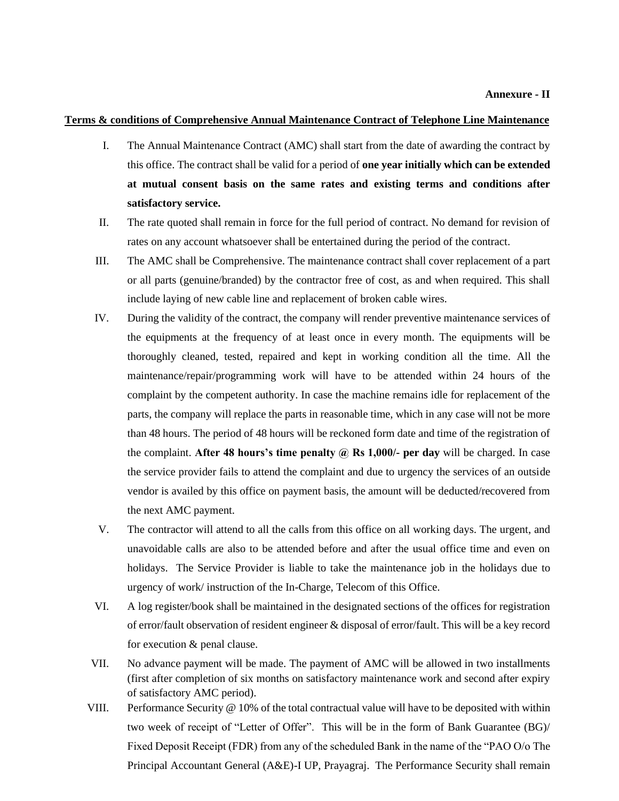#### **Terms & conditions of Comprehensive Annual Maintenance Contract of Telephone Line Maintenance**

- I. The Annual Maintenance Contract (AMC) shall start from the date of awarding the contract by this office. The contract shall be valid for a period of **one year initially which can be extended at mutual consent basis on the same rates and existing terms and conditions after satisfactory service.**
- II. The rate quoted shall remain in force for the full period of contract. No demand for revision of rates on any account whatsoever shall be entertained during the period of the contract.
- III. The AMC shall be Comprehensive. The maintenance contract shall cover replacement of a part or all parts (genuine/branded) by the contractor free of cost, as and when required. This shall include laying of new cable line and replacement of broken cable wires.
- IV. During the validity of the contract, the company will render preventive maintenance services of the equipments at the frequency of at least once in every month. The equipments will be thoroughly cleaned, tested, repaired and kept in working condition all the time. All the maintenance/repair/programming work will have to be attended within 24 hours of the complaint by the competent authority. In case the machine remains idle for replacement of the parts, the company will replace the parts in reasonable time, which in any case will not be more than 48 hours. The period of 48 hours will be reckoned form date and time of the registration of the complaint. **After 48 hours's time penalty @ Rs 1,000/- per day** will be charged. In case the service provider fails to attend the complaint and due to urgency the services of an outside vendor is availed by this office on payment basis, the amount will be deducted/recovered from the next AMC payment.
- V. The contractor will attend to all the calls from this office on all working days. The urgent, and unavoidable calls are also to be attended before and after the usual office time and even on holidays. The Service Provider is liable to take the maintenance job in the holidays due to urgency of work/ instruction of the In-Charge, Telecom of this Office.
- VI. A log register/book shall be maintained in the designated sections of the offices for registration of error/fault observation of resident engineer & disposal of error/fault. This will be a key record for execution & penal clause.
- VII. No advance payment will be made. The payment of AMC will be allowed in two installments (first after completion of six months on satisfactory maintenance work and second after expiry of satisfactory AMC period).
- VIII. Performance Security @ 10% of the total contractual value will have to be deposited with within two week of receipt of "Letter of Offer". This will be in the form of Bank Guarantee (BG)/ Fixed Deposit Receipt (FDR) from any of the scheduled Bank in the name of the "PAO O/o The Principal Accountant General (A&E)-I UP, Prayagraj. The Performance Security shall remain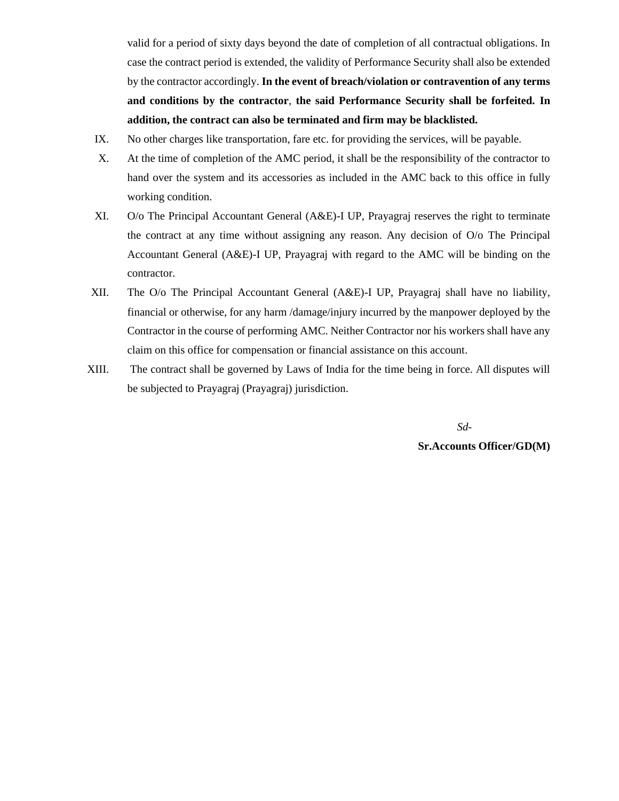valid for a period of sixty days beyond the date of completion of all contractual obligations. In case the contract period is extended, the validity of Performance Security shall also be extended by the contractor accordingly. **In the event of breach/violation or contravention of any terms and conditions by the contractor**, **the said Performance Security shall be forfeited. In addition, the contract can also be terminated and firm may be blacklisted.**

- IX. No other charges like transportation, fare etc. for providing the services, will be payable.
- X. At the time of completion of the AMC period, it shall be the responsibility of the contractor to hand over the system and its accessories as included in the AMC back to this office in fully working condition.
- XI. O/o The Principal Accountant General (A&E)-I UP, Prayagraj reserves the right to terminate the contract at any time without assigning any reason. Any decision of O/o The Principal Accountant General (A&E)-I UP, Prayagraj with regard to the AMC will be binding on the contractor.
- XII. The O/o The Principal Accountant General (A&E)-I UP, Prayagraj shall have no liability, financial or otherwise, for any harm /damage/injury incurred by the manpower deployed by the Contractor in the course of performing AMC. Neither Contractor nor his workers shall have any claim on this office for compensation or financial assistance on this account.
- XIII. The contract shall be governed by Laws of India for the time being in force. All disputes will be subjected to Prayagraj (Prayagraj) jurisdiction.

 *Sd-***Sr.Accounts Officer/GD(M)**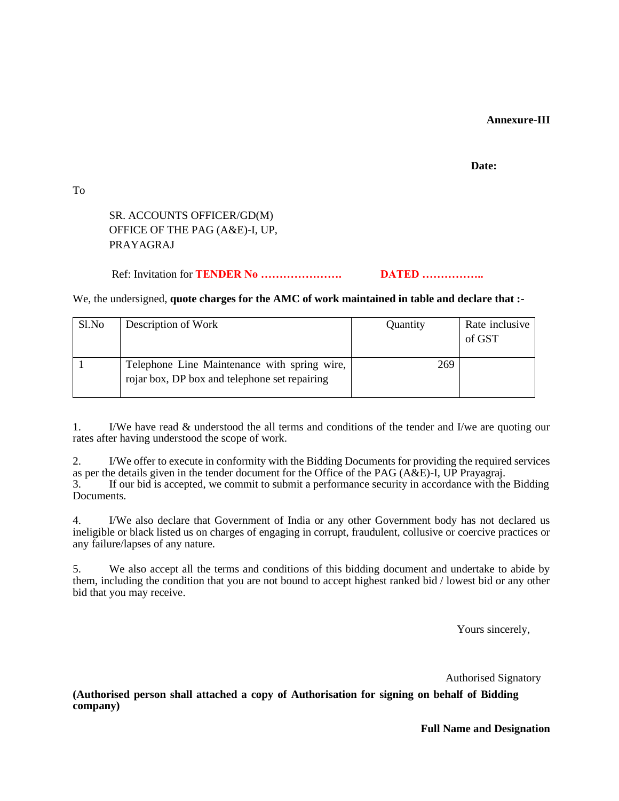### **Annexure-III**

#### **Date:**

To

## SR. ACCOUNTS OFFICER/GD(M) OFFICE OF THE PAG (A&E)-I, UP, PRAYAGRAJ

## Ref: Invitation for **TENDER No …………………. DATED ……………..**

#### We, the undersigned, **quote charges for the AMC of work maintained in table and declare that :-**

| Sl.No | Description of Work                                                                           | Quantity | Rate inclusive<br>of GST |
|-------|-----------------------------------------------------------------------------------------------|----------|--------------------------|
|       | Telephone Line Maintenance with spring wire,<br>rojar box, DP box and telephone set repairing | 269      |                          |

1. I/We have read & understood the all terms and conditions of the tender and I/we are quoting our rates after having understood the scope of work.

2. I/We offer to execute in conformity with the Bidding Documents for providing the required services as per the details given in the tender document for the Office of the PAG ( $A\&E$ )-I, UP Prayagraj.<br>3 If our bid is accepted we commit to submit a performance security in accordance with the If our bid is accepted, we commit to submit a performance security in accordance with the Bidding Documents.

4. I/We also declare that Government of India or any other Government body has not declared us ineligible or black listed us on charges of engaging in corrupt, fraudulent, collusive or coercive practices or any failure/lapses of any nature.

5. We also accept all the terms and conditions of this bidding document and undertake to abide by them, including the condition that you are not bound to accept highest ranked bid / lowest bid or any other bid that you may receive.

Yours sincerely,

Authorised Signatory

**(Authorised person shall attached a copy of Authorisation for signing on behalf of Bidding company)**

**Full Name and Designation**